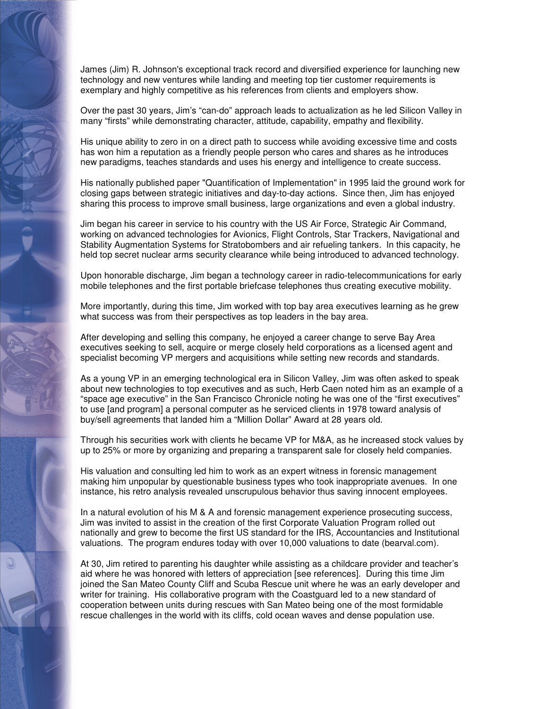James (Jim) R. Johnson's exceptional track record and diversified experience for launching new technology and new ventures while landing and meeting top tier customer requirements is exemplary and highly competitive as his references from clients and employers show.

Over the past 30 years, Jim's "can-do" approach leads to actualization as he led Silicon Valley in many "firsts" while demonstrating character, attitude, capability, empathy and flexibility.

His unique ability to zero in on a direct path to success while avoiding excessive time and costs has won him a reputation as a friendly people person who cares and shares as he introduces new paradigms, teaches standards and uses his energy and intelligence to create success.

His nationally published paper "Quantification of Implementation" in 1995 laid the ground work for closing gaps between strategic initiatives and day-to-day actions. Since then, Jim has enjoyed sharing this process to improve small business, large organizations and even a global industry.

Jim began his career in service to his country with the US Air Force, Strategic Air Command, working on advanced technologies for Avionics, Flight Controls, Star Trackers, Navigational and Stability Augmentation Systems for Stratobombers and air refueling tankers. In this capacity, he held top secret nuclear arms security clearance while being introduced to advanced technology.

Upon honorable discharge, Jim began a technology career in radio-telecommunications for early mobile telephones and the first portable briefcase telephones thus creating executive mobility.

More importantly, during this time, Jim worked with top bay area executives learning as he grew what success was from their perspectives as top leaders in the bay area.

After developing and selling this company, he enjoyed a career change to serve Bay Area executives seeking to sell, acquire or merge closely held corporations as a licensed agent and specialist becoming VP mergers and acquisitions while setting new records and standards.

As a young VP in an emerging technological era in Silicon Valley, Jim was often asked to speak about new technologies to top executives and as such, Herb Caen noted him as an example of a "space age executive" in the San Francisco Chronicle noting he was one of the "first executives" to use [and program] a personal computer as he serviced clients in 1978 toward analysis of buy/sell agreements that landed him a "Million Dollar" Award at 28 years old.

Through his securities work with clients he became VP for M&A, as he increased stock values by up to 25% or more by organizing and preparing a transparent sale for closely held companies.

His valuation and consulting led him to work as an expert witness in forensic management making him unpopular by questionable business types who took inappropriate avenues. In one instance, his retro analysis revealed unscrupulous behavior thus saving innocent employees.

In a natural evolution of his M & A and forensic management experience prosecuting success, Jim was invited to assist in the creation of the first Corporate Valuation Program rolled out nationally and grew to become the first US standard for the IRS, Accountancies and Institutional valuations. The program endures today with over 10,000 valuations to date (bearval.com).

At 30, Jim retired to parenting his daughter while assisting as a childcare provider and teacher's aid where he was honored with letters of appreciation [see references]. During this time Jim joined the San Mateo County Cliff and Scuba Rescue unit where he was an early developer and writer for training. His collaborative program with the Coastguard led to a new standard of cooperation between units during rescues with San Mateo being one of the most formidable rescue challenges in the world with its cliffs, cold ocean waves and dense population use.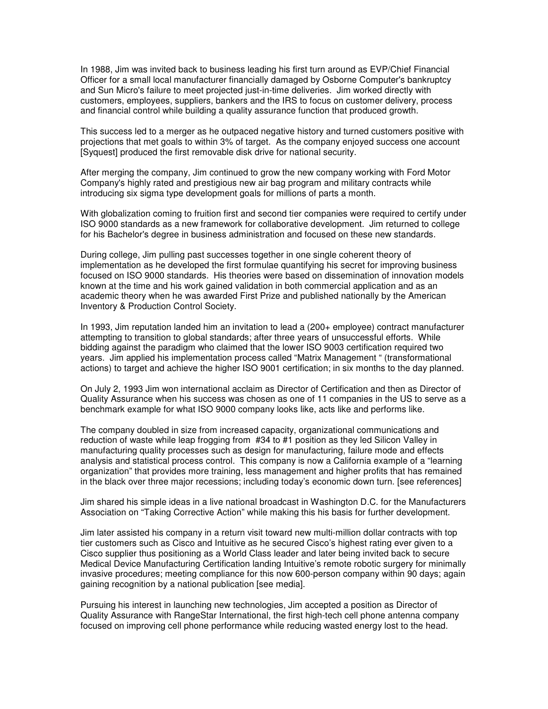In 1988, Jim was invited back to business leading his first turn around as EVP/Chief Financial Officer for a small local manufacturer financially damaged by Osborne Computer's bankruptcy and Sun Micro's failure to meet projected just-in-time deliveries. Jim worked directly with customers, employees, suppliers, bankers and the IRS to focus on customer delivery, process and financial control while building a quality assurance function that produced growth.

This success led to a merger as he outpaced negative history and turned customers positive with projections that met goals to within 3% of target. As the company enjoyed success one account [Syquest] produced the first removable disk drive for national security.

After merging the company, Jim continued to grow the new company working with Ford Motor Company's highly rated and prestigious new air bag program and military contracts while introducing six sigma type development goals for millions of parts a month.

With globalization coming to fruition first and second tier companies were required to certify under ISO 9000 standards as a new framework for collaborative development. Jim returned to college for his Bachelor's degree in business administration and focused on these new standards.

During college, Jim pulling past successes together in one single coherent theory of implementation as he developed the first formulae quantifying his secret for improving business focused on ISO 9000 standards. His theories were based on dissemination of innovation models known at the time and his work gained validation in both commercial application and as an academic theory when he was awarded First Prize and published nationally by the American Inventory & Production Control Society.

In 1993, Jim reputation landed him an invitation to lead a (200+ employee) contract manufacturer attempting to transition to global standards; after three years of unsuccessful efforts. While bidding against the paradigm who claimed that the lower ISO 9003 certification required two years. Jim applied his implementation process called "Matrix Management " (transformational actions) to target and achieve the higher ISO 9001 certification; in six months to the day planned.

On July 2, 1993 Jim won international acclaim as Director of Certification and then as Director of Quality Assurance when his success was chosen as one of 11 companies in the US to serve as a benchmark example for what ISO 9000 company looks like, acts like and performs like.

The company doubled in size from increased capacity, organizational communications and reduction of waste while leap frogging from #34 to #1 position as they led Silicon Valley in manufacturing quality processes such as design for manufacturing, failure mode and effects analysis and statistical process control. This company is now a California example of a "learning organization" that provides more training, less management and higher profits that has remained in the black over three major recessions; including today's economic down turn. [see references]

Jim shared his simple ideas in a live national broadcast in Washington D.C. for the Manufacturers Association on "Taking Corrective Action" while making this his basis for further development.

Jim later assisted his company in a return visit toward new multi-million dollar contracts with top tier customers such as Cisco and Intuitive as he secured Cisco's highest rating ever given to a Cisco supplier thus positioning as a World Class leader and later being invited back to secure Medical Device Manufacturing Certification landing Intuitive's remote robotic surgery for minimally invasive procedures; meeting compliance for this now 600-person company within 90 days; again gaining recognition by a national publication [see media].

Pursuing his interest in launching new technologies, Jim accepted a position as Director of Quality Assurance with RangeStar International, the first high-tech cell phone antenna company focused on improving cell phone performance while reducing wasted energy lost to the head.